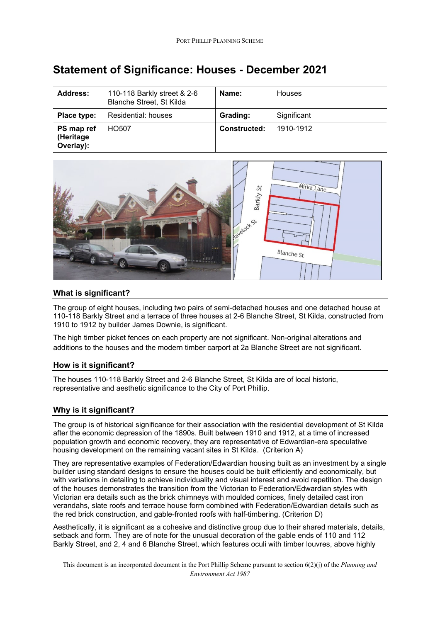| <b>Address:</b>                      | 110-118 Barkly street & 2-6<br>Blanche Street, St Kilda | Name:               | <b>Houses</b> |
|--------------------------------------|---------------------------------------------------------|---------------------|---------------|
| Place type:                          | Residential: houses                                     | Grading:            | Significant   |
| PS map ref<br>(Heritage<br>Overlay): | HO <sub>507</sub>                                       | <b>Constructed:</b> | 1910-1912     |

# **Statement of Significance: Houses - December 2021**



#### **What is significant?**

The group of eight houses, including two pairs of semi-detached houses and one detached house at 110-118 Barkly Street and a terrace of three houses at 2-6 Blanche Street, St Kilda, constructed from 1910 to 1912 by builder James Downie, is significant.

The high timber picket fences on each property are not significant. Non-original alterations and additions to the houses and the modern timber carport at 2a Blanche Street are not significant.

## **How is it significant?**

The houses 110-118 Barkly Street and 2-6 Blanche Street, St Kilda are of local historic, representative and aesthetic significance to the City of Port Phillip.

## **Why is it significant?**

The group is of historical significance for their association with the residential development of St Kilda after the economic depression of the 1890s. Built between 1910 and 1912, at a time of increased population growth and economic recovery, they are representative of Edwardian-era speculative housing development on the remaining vacant sites in St Kilda. (Criterion A)

They are representative examples of Federation/Edwardian housing built as an investment by a single builder using standard designs to ensure the houses could be built efficiently and economically, but with variations in detailing to achieve individuality and visual interest and avoid repetition. The design of the houses demonstrates the transition from the Victorian to Federation/Edwardian styles with Victorian era details such as the brick chimneys with moulded cornices, finely detailed cast iron verandahs, slate roofs and terrace house form combined with Federation/Edwardian details such as the red brick construction, and gable-fronted roofs with half-timbering. (Criterion D)

Aesthetically, it is significant as a cohesive and distinctive group due to their shared materials, details, setback and form. They are of note for the unusual decoration of the gable ends of 110 and 112 Barkly Street, and 2, 4 and 6 Blanche Street, which features oculi with timber louvres, above highly